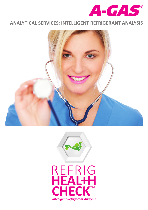

## **ANALYTICAL SERVICES: INTELLIGENT REFRIGERANT ANALYSIS**